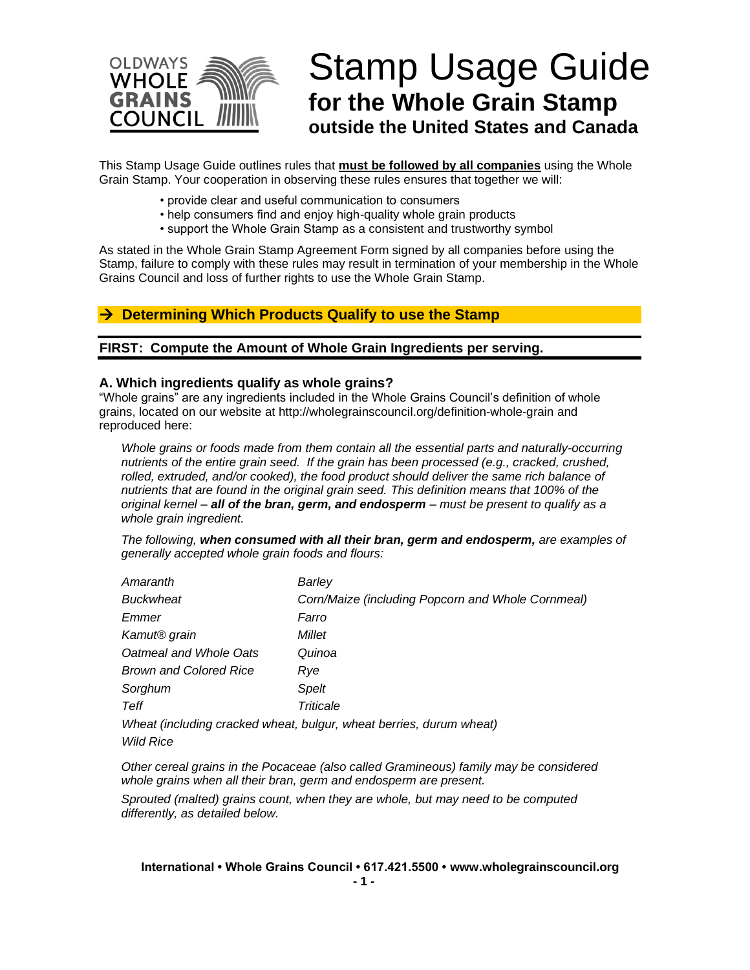

# Stamp Usage Guide **for the Whole Grain Stamp outside the United States and Canada**

This Stamp Usage Guide outlines rules that **must be followed by all companies** using the Whole Grain Stamp. Your cooperation in observing these rules ensures that together we will:

- provide clear and useful communication to consumers
- help consumers find and enjoy high-quality whole grain products
- support the Whole Grain Stamp as a consistent and trustworthy symbol

As stated in the Whole Grain Stamp Agreement Form signed by all companies before using the Stamp, failure to comply with these rules may result in termination of your membership in the Whole Grains Council and loss of further rights to use the Whole Grain Stamp.

# → **Determining Which Products Qualify to use the Stamp**

**FIRST: Compute the Amount of Whole Grain Ingredients per serving.**

#### **A. Which ingredients qualify as whole grains?**

"Whole grains" are any ingredients included in the Whole Grains Council's definition of whole grains, located on our website at http://wholegrainscouncil.org/definition-whole-grain and reproduced here:

*Whole grains or foods made from them contain all the essential parts and naturally-occurring nutrients of the entire grain seed. If the grain has been processed (e.g., cracked, crushed,*  rolled, extruded, and/or cooked), the food product should deliver the same rich balance of *nutrients that are found in the original grain seed. This definition means that 100% of the original kernel – all of the bran, germ, and endosperm – must be present to qualify as a whole grain ingredient.*

*The following, when consumed with all their bran, germ and endosperm, are examples of generally accepted whole grain foods and flours:* 

| Amaranth                      | Barley                                                              |
|-------------------------------|---------------------------------------------------------------------|
| <b>Buckwheat</b>              | Corn/Maize (including Popcorn and Whole Cornmeal)                   |
| Emmer                         | Farro                                                               |
| Kamut <sup>®</sup> grain      | Millet                                                              |
| Oatmeal and Whole Oats        | Quinoa                                                              |
| <b>Brown and Colored Rice</b> | Rye                                                                 |
| Sorghum                       | Spelt                                                               |
| Teff                          | Triticale                                                           |
|                               | Wheat (including cracked wheat, bulgur, wheat berries, durum wheat) |
| <b>Wild Rice</b>              |                                                                     |

*Other cereal grains in the Pocaceae (also called Gramineous) family may be considered whole grains when all their bran, germ and endosperm are present.*

*Sprouted (malted) grains count, when they are whole, but may need to be computed differently, as detailed below.*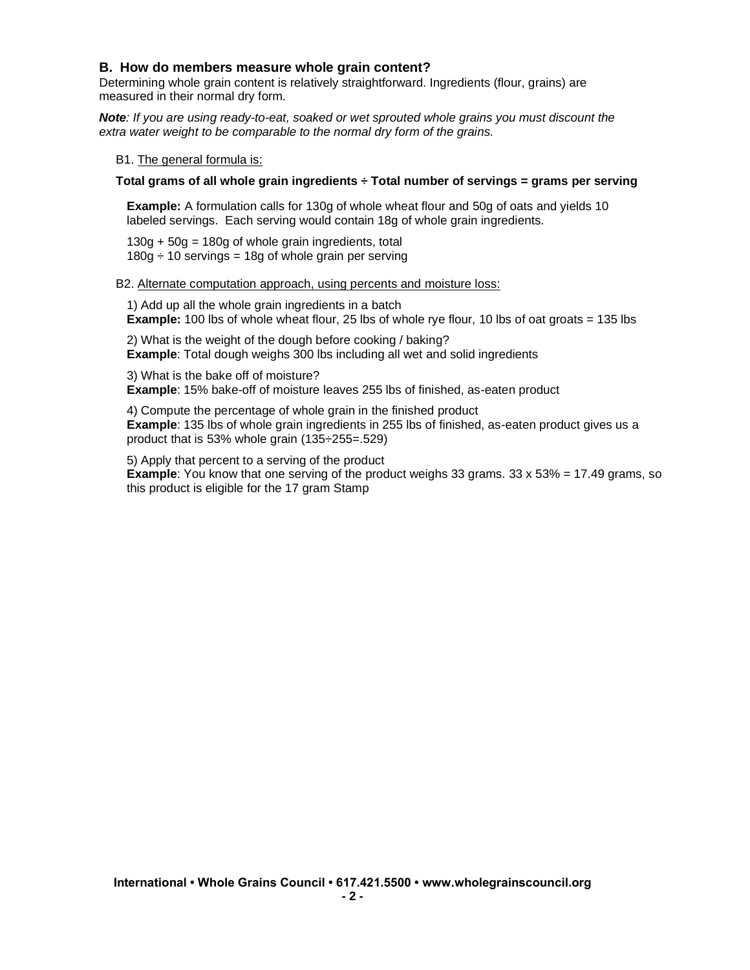#### **B. How do members measure whole grain content?**

Determining whole grain content is relatively straightforward. Ingredients (flour, grains) are measured in their normal dry form.

*Note: If you are using ready-to-eat, soaked or wet sprouted whole grains you must discount the extra water weight to be comparable to the normal dry form of the grains.*

B1. The general formula is:

#### **Total grams of all whole grain ingredients ÷ Total number of servings = grams per serving**

**Example:** A formulation calls for 130g of whole wheat flour and 50g of oats and yields 10 labeled servings. Each serving would contain 18g of whole grain ingredients.

 $130g + 50g = 180g$  of whole grain ingredients, total  $180g \div 10$  servings = 18g of whole grain per serving

#### B2. Alternate computation approach, using percents and moisture loss:

1) Add up all the whole grain ingredients in a batch **Example:** 100 lbs of whole wheat flour, 25 lbs of whole rye flour, 10 lbs of oat groats = 135 lbs

2) What is the weight of the dough before cooking / baking? **Example**: Total dough weighs 300 lbs including all wet and solid ingredients

3) What is the bake off of moisture?

**Example**: 15% bake-off of moisture leaves 255 lbs of finished, as-eaten product

4) Compute the percentage of whole grain in the finished product **Example**: 135 lbs of whole grain ingredients in 255 lbs of finished, as-eaten product gives us a product that is 53% whole grain (135÷255=.529)

5) Apply that percent to a serving of the product **Example**: You know that one serving of the product weighs 33 grams. 33 x 53% = 17.49 grams, so this product is eligible for the 17 gram Stamp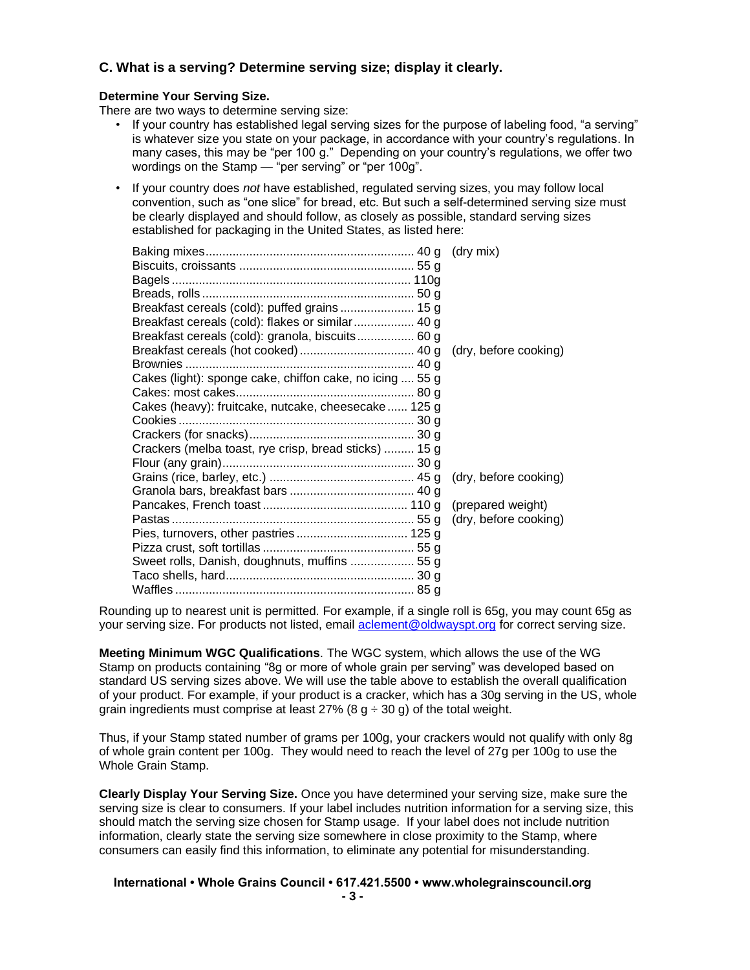# **C. What is a serving? Determine serving size; display it clearly.**

#### **Determine Your Serving Size.**

There are two ways to determine serving size:

- If your country has established legal serving sizes for the purpose of labeling food, "a serving" is whatever size you state on your package, in accordance with your country's regulations. In many cases, this may be "per 100 g." Depending on your country's regulations, we offer two wordings on the Stamp — "per serving" or "per 100g".
- If your country does *not* have established, regulated serving sizes, you may follow local convention, such as "one slice" for bread, etc. But such a self-determined serving size must be clearly displayed and should follow, as closely as possible, standard serving sizes established for packaging in the United States, as listed here:

|                                                          | (dry mix)             |
|----------------------------------------------------------|-----------------------|
|                                                          |                       |
|                                                          |                       |
|                                                          |                       |
| Breakfast cereals (cold): puffed grains  15 g            |                       |
| Breakfast cereals (cold): flakes or similar  40 g        |                       |
| Breakfast cereals (cold): granola, biscuits 60 g         |                       |
|                                                          | (dry, before cooking) |
|                                                          |                       |
| Cakes (light): sponge cake, chiffon cake, no icing  55 g |                       |
|                                                          |                       |
| Cakes (heavy): fruitcake, nutcake, cheesecake  125 g     |                       |
|                                                          |                       |
|                                                          |                       |
| Crackers (melba toast, rye crisp, bread sticks)  15 g    |                       |
|                                                          |                       |
|                                                          | (dry, before cooking) |
|                                                          |                       |
|                                                          | (prepared weight)     |
|                                                          |                       |
|                                                          |                       |
|                                                          |                       |
| Sweet rolls, Danish, doughnuts, muffins  55 g            |                       |
|                                                          |                       |
|                                                          |                       |

Rounding up to nearest unit is permitted. For example, if a single roll is 65g, you may count 65g as your serving size. For products not listed, email **aclement@oldwayspt.org** for correct serving size.

**Meeting Minimum WGC Qualifications**. The WGC system, which allows the use of the WG Stamp on products containing "8g or more of whole grain per serving" was developed based on standard US serving sizes above. We will use the table above to establish the overall qualification of your product. For example, if your product is a cracker, which has a 30g serving in the US, whole grain ingredients must comprise at least 27% (8  $q \div 30$  g) of the total weight.

Thus, if your Stamp stated number of grams per 100g, your crackers would not qualify with only 8g of whole grain content per 100g. They would need to reach the level of 27g per 100g to use the Whole Grain Stamp.

**Clearly Display Your Serving Size.** Once you have determined your serving size, make sure the serving size is clear to consumers. If your label includes nutrition information for a serving size, this should match the serving size chosen for Stamp usage. If your label does not include nutrition information, clearly state the serving size somewhere in close proximity to the Stamp, where consumers can easily find this information, to eliminate any potential for misunderstanding.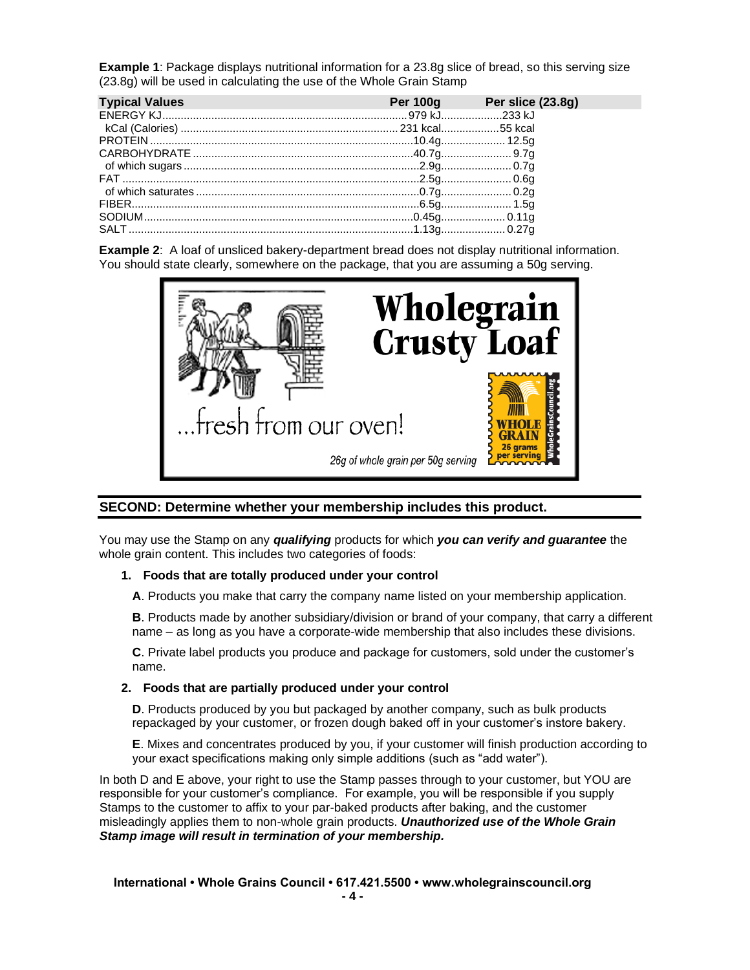**Example 1**: Package displays nutritional information for a 23.8g slice of bread, so this serving size (23.8g) will be used in calculating the use of the Whole Grain Stamp

| <b>Typical Values</b> | Per 100g Per slice (23.8g) |
|-----------------------|----------------------------|
|                       |                            |
|                       |                            |
|                       |                            |
|                       |                            |
|                       |                            |
|                       |                            |
|                       |                            |
|                       |                            |
|                       |                            |
|                       |                            |

**Example 2**: A loaf of unsliced bakery-department bread does not display nutritional information. You should state clearly, somewhere on the package, that you are assuming a 50g serving.



#### **SECOND: Determine whether your membership includes this product.**

You may use the Stamp on any *qualifying* products for which *you can verify and guarantee* the whole grain content. This includes two categories of foods:

#### **1. Foods that are totally produced under your control**

**A**. Products you make that carry the company name listed on your membership application.

**B**. Products made by another subsidiary/division or brand of your company, that carry a different name – as long as you have a corporate-wide membership that also includes these divisions.

**C**. Private label products you produce and package for customers, sold under the customer's name.

#### **2. Foods that are partially produced under your control**

**D**. Products produced by you but packaged by another company, such as bulk products repackaged by your customer, or frozen dough baked off in your customer's instore bakery.

**E**. Mixes and concentrates produced by you, if your customer will finish production according to your exact specifications making only simple additions (such as "add water").

In both D and E above, your right to use the Stamp passes through to your customer, but YOU are responsible for your customer's compliance. For example, you will be responsible if you supply Stamps to the customer to affix to your par-baked products after baking, and the customer misleadingly applies them to non-whole grain products. *Unauthorized use of the Whole Grain Stamp image will result in termination of your membership.*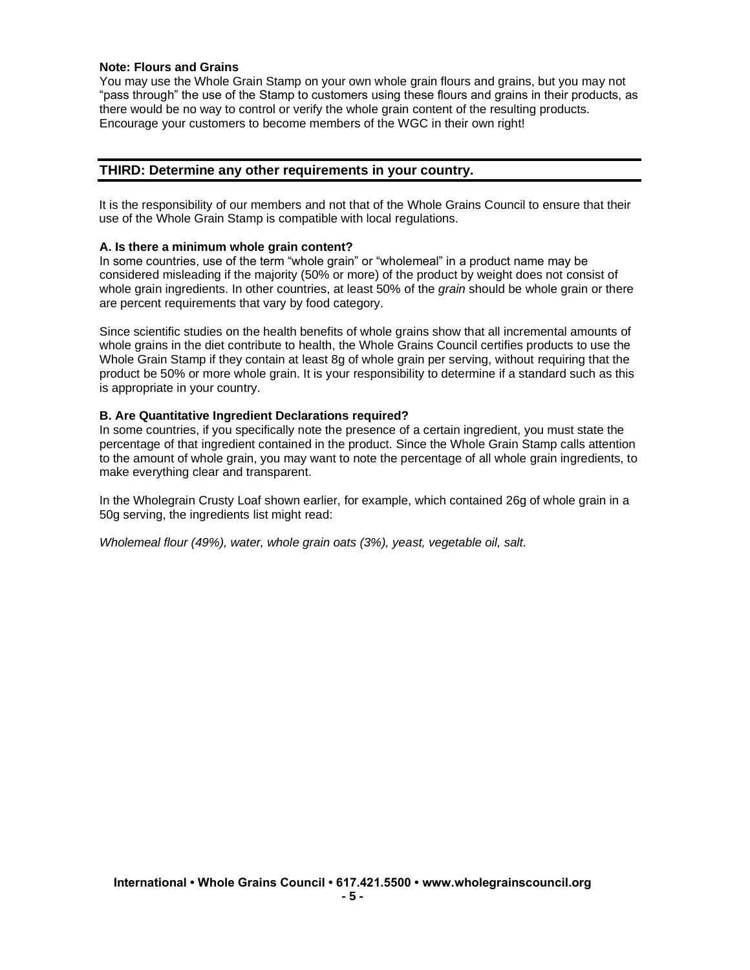#### **Note: Flours and Grains**

You may use the Whole Grain Stamp on your own whole grain flours and grains, but you may not "pass through" the use of the Stamp to customers using these flours and grains in their products, as there would be no way to control or verify the whole grain content of the resulting products. Encourage your customers to become members of the WGC in their own right!

#### **THIRD: Determine any other requirements in your country.**

It is the responsibility of our members and not that of the Whole Grains Council to ensure that their use of the Whole Grain Stamp is compatible with local regulations.

#### **A. Is there a minimum whole grain content?**

In some countries, use of the term "whole grain" or "wholemeal" in a product name may be considered misleading if the majority (50% or more) of the product by weight does not consist of whole grain ingredients. In other countries, at least 50% of the *grain* should be whole grain or there are percent requirements that vary by food category.

Since scientific studies on the health benefits of whole grains show that all incremental amounts of whole grains in the diet contribute to health, the Whole Grains Council certifies products to use the Whole Grain Stamp if they contain at least 8g of whole grain per serving, without requiring that the product be 50% or more whole grain. It is your responsibility to determine if a standard such as this is appropriate in your country.

#### **B. Are Quantitative Ingredient Declarations required?**

In some countries, if you specifically note the presence of a certain ingredient, you must state the percentage of that ingredient contained in the product. Since the Whole Grain Stamp calls attention to the amount of whole grain, you may want to note the percentage of all whole grain ingredients, to make everything clear and transparent.

In the Wholegrain Crusty Loaf shown earlier, for example, which contained 26g of whole grain in a 50g serving, the ingredients list might read:

*Wholemeal flour (49%), water, whole grain oats (3%), yeast, vegetable oil, salt.*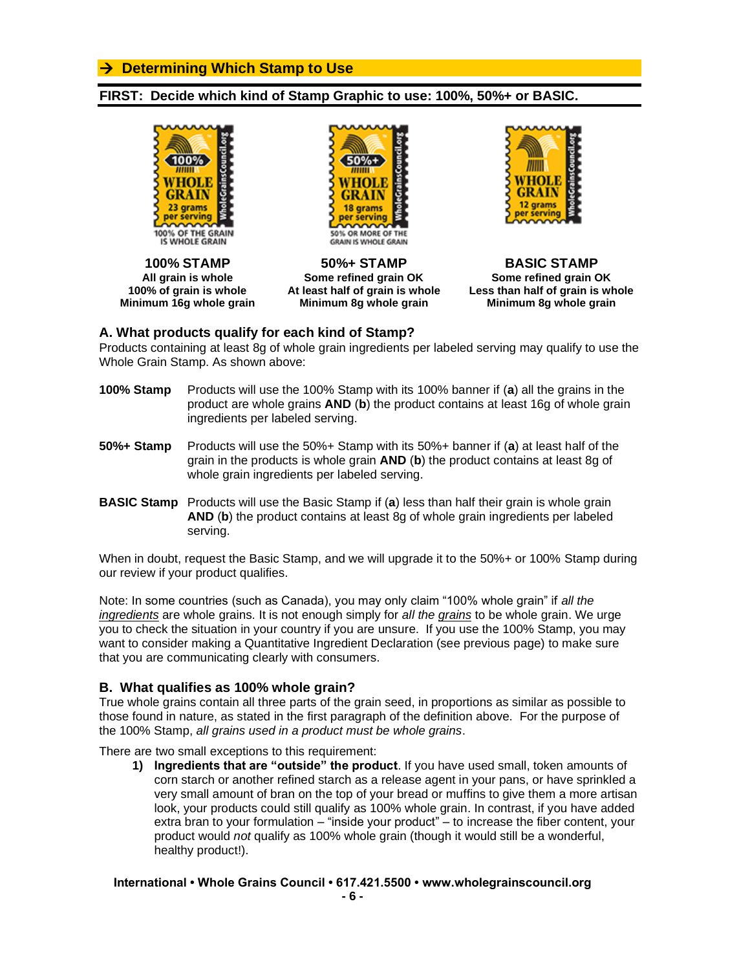# → **Determining Which Stamp to Use**

## **FIRST: Decide which kind of Stamp Graphic to use: 100%, 50%+ or BASIC.**





**100% STAMP 50%+ STAMP BASIC STAMP All grain is whole Some refined grain OK Some refined grain OK Minimum 16g whole grain Minimum 8g whole grain Minimum 8g whole grain**



**100% of grain is whole At least half of grain is whole Less than half of grain is whole**

## **A. What products qualify for each kind of Stamp?**

Products containing at least 8g of whole grain ingredients per labeled serving may qualify to use the Whole Grain Stamp. As shown above:

- **100% Stamp** Products will use the 100% Stamp with its 100% banner if (**a**) all the grains in the product are whole grains **AND** (**b**) the product contains at least 16g of whole grain ingredients per labeled serving.
- **50%+ Stamp** Products will use the 50%+ Stamp with its 50%+ banner if (**a**) at least half of the grain in the products is whole grain **AND** (**b**) the product contains at least 8g of whole grain ingredients per labeled serving.
- **BASIC Stamp** Products will use the Basic Stamp if (**a**) less than half their grain is whole grain **AND** (**b**) the product contains at least 8g of whole grain ingredients per labeled serving.

When in doubt, request the Basic Stamp, and we will upgrade it to the 50%+ or 100% Stamp during our review if your product qualifies.

Note: In some countries (such as Canada), you may only claim "100% whole grain" if *all the ingredients* are whole grains. It is not enough simply for *all the grains* to be whole grain. We urge you to check the situation in your country if you are unsure. If you use the 100% Stamp, you may want to consider making a Quantitative Ingredient Declaration (see previous page) to make sure that you are communicating clearly with consumers.

#### **B. What qualifies as 100% whole grain?**

True whole grains contain all three parts of the grain seed, in proportions as similar as possible to those found in nature, as stated in the first paragraph of the definition above. For the purpose of the 100% Stamp, *all grains used in a product must be whole grains*.

There are two small exceptions to this requirement:

**1) Ingredients that are "outside" the product**. If you have used small, token amounts of corn starch or another refined starch as a release agent in your pans, or have sprinkled a very small amount of bran on the top of your bread or muffins to give them a more artisan look, your products could still qualify as 100% whole grain. In contrast, if you have added extra bran to your formulation – "inside your product" – to increase the fiber content, your product would *not* qualify as 100% whole grain (though it would still be a wonderful, healthy product!).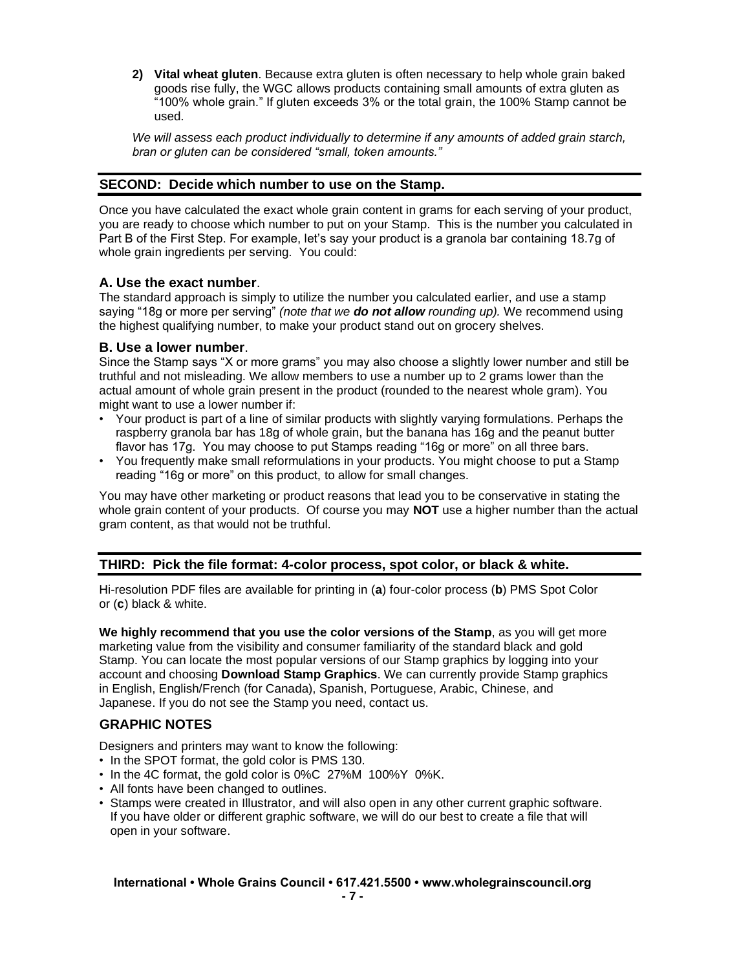**2) Vital wheat gluten**. Because extra gluten is often necessary to help whole grain baked goods rise fully, the WGC allows products containing small amounts of extra gluten as "100% whole grain." If gluten exceeds 3% or the total grain, the 100% Stamp cannot be used.

*We will assess each product individually to determine if any amounts of added grain starch, bran or gluten can be considered "small, token amounts."*

## **SECOND: Decide which number to use on the Stamp.**

Once you have calculated the exact whole grain content in grams for each serving of your product, you are ready to choose which number to put on your Stamp. This is the number you calculated in Part B of the First Step. For example, let's say your product is a granola bar containing 18.7g of whole grain ingredients per serving. You could:

#### **A. Use the exact number**.

The standard approach is simply to utilize the number you calculated earlier, and use a stamp saying "18g or more per serving" *(note that we do not allow rounding up).* We recommend using the highest qualifying number, to make your product stand out on grocery shelves.

## **B. Use a lower number**.

Since the Stamp says "X or more grams" you may also choose a slightly lower number and still be truthful and not misleading. We allow members to use a number up to 2 grams lower than the actual amount of whole grain present in the product (rounded to the nearest whole gram). You might want to use a lower number if:

- Your product is part of a line of similar products with slightly varying formulations. Perhaps the raspberry granola bar has 18g of whole grain, but the banana has 16g and the peanut butter flavor has 17g. You may choose to put Stamps reading "16g or more" on all three bars.
- You frequently make small reformulations in your products. You might choose to put a Stamp reading "16g or more" on this product, to allow for small changes.

You may have other marketing or product reasons that lead you to be conservative in stating the whole grain content of your products. Of course you may **NOT** use a higher number than the actual gram content, as that would not be truthful.

# **THIRD: Pick the file format: 4-color process, spot color, or black & white.**

Hi-resolution PDF files are available for printing in (**a**) four-color process (**b**) PMS Spot Color or (**c**) black & white.

**We highly recommend that you use the color versions of the Stamp**, as you will get more marketing value from the visibility and consumer familiarity of the standard black and gold Stamp. You can locate the most popular versions of our Stamp graphics by logging into your account and choosing **Download Stamp Graphics**. We can currently provide Stamp graphics in English, English/French (for Canada), Spanish, Portuguese, Arabic, Chinese, and Japanese. If you do not see the Stamp you need, contact us.

# **GRAPHIC NOTES**

Designers and printers may want to know the following:

- In the SPOT format, the gold color is PMS 130.
- In the 4C format, the gold color is 0%C 27%M 100%Y 0%K.
- All fonts have been changed to outlines.
- Stamps were created in Illustrator, and will also open in any other current graphic software. If you have older or different graphic software, we will do our best to create a file that will open in your software.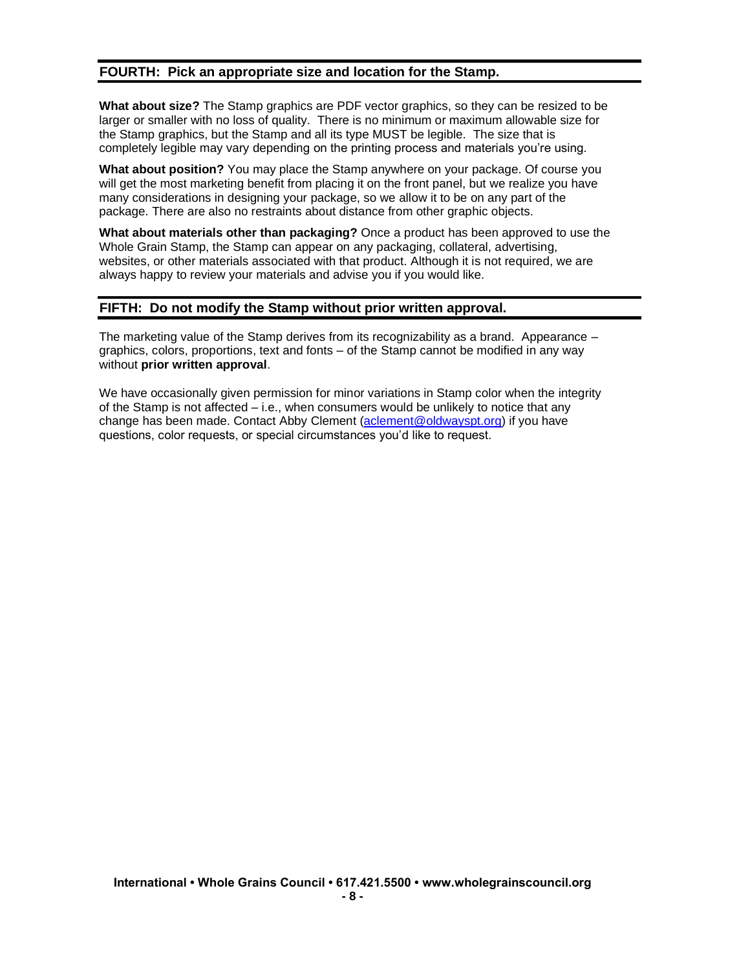## **FOURTH: Pick an appropriate size and location for the Stamp.**

**What about size?** The Stamp graphics are PDF vector graphics, so they can be resized to be larger or smaller with no loss of quality. There is no minimum or maximum allowable size for the Stamp graphics, but the Stamp and all its type MUST be legible. The size that is completely legible may vary depending on the printing process and materials you're using.

**What about position?** You may place the Stamp anywhere on your package. Of course you will get the most marketing benefit from placing it on the front panel, but we realize you have many considerations in designing your package, so we allow it to be on any part of the package. There are also no restraints about distance from other graphic objects.

**What about materials other than packaging?** Once a product has been approved to use the Whole Grain Stamp, the Stamp can appear on any packaging, collateral, advertising, websites, or other materials associated with that product. Although it is not required, we are always happy to review your materials and advise you if you would like.

## **FIFTH: Do not modify the Stamp without prior written approval.**

The marketing value of the Stamp derives from its recognizability as a brand. Appearance – graphics, colors, proportions, text and fonts – of the Stamp cannot be modified in any way without **prior written approval**.

We have occasionally given permission for minor variations in Stamp color when the integrity of the Stamp is not affected – i.e., when consumers would be unlikely to notice that any change has been made. Contact Abby Clement [\(aclement@oldwayspt.org\)](mailto:aclement@oldwayspt.org) if you have questions, color requests, or special circumstances you'd like to request.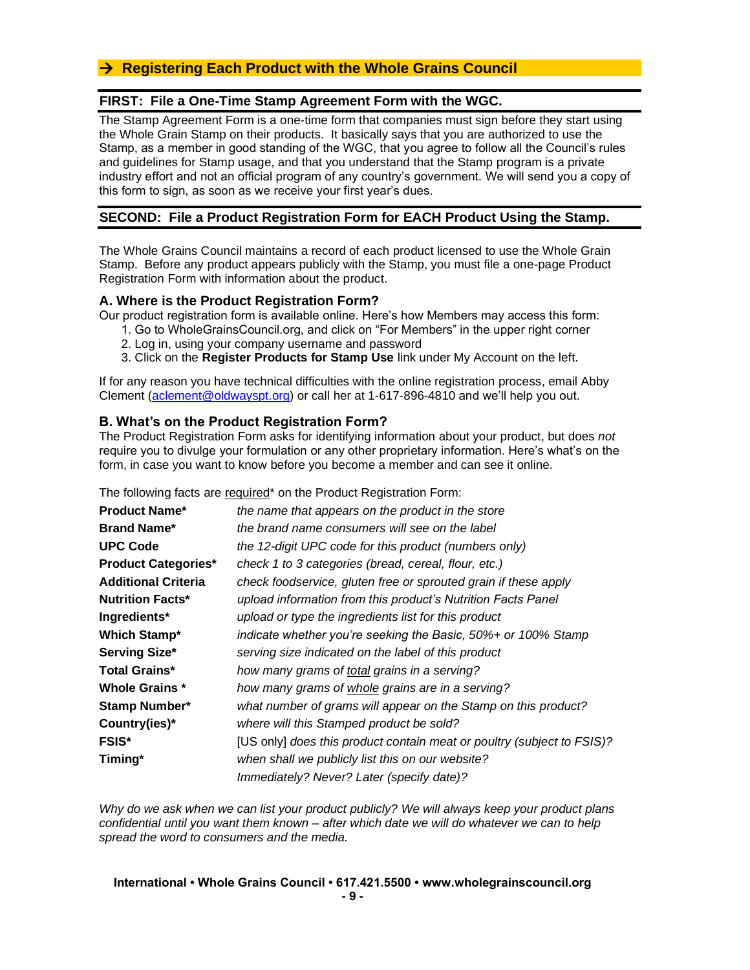# → **Registering Each Product with the Whole Grains Council**

## **FIRST: File a One-Time Stamp Agreement Form with the WGC.**

The Stamp Agreement Form is a one-time form that companies must sign before they start using the Whole Grain Stamp on their products. It basically says that you are authorized to use the Stamp, as a member in good standing of the WGC, that you agree to follow all the Council's rules and guidelines for Stamp usage, and that you understand that the Stamp program is a private industry effort and not an official program of any country's government. We will send you a copy of this form to sign, as soon as we receive your first year's dues.

## **SECOND: File a Product Registration Form for EACH Product Using the Stamp.**

The Whole Grains Council maintains a record of each product licensed to use the Whole Grain Stamp. Before any product appears publicly with the Stamp, you must file a one-page Product Registration Form with information about the product.

#### **A. Where is the Product Registration Form?**

Our product registration form is available online. Here's how Members may access this form:

- 1. Go to WholeGrainsCouncil.org, and click on "For Members" in the upper right corner
- 2. Log in, using your company username and password
- 3. Click on the **Register Products for Stamp Use** link under My Account on the left.

If for any reason you have technical difficulties with the online registration process, email Abby Clement [\(aclement@oldwayspt.org\)](mailto:aclement@oldwayspt.org) or call her at 1-617-896-4810 and we'll help you out.

#### **B. What's on the Product Registration Form?**

The Product Registration Form asks for identifying information about your product, but does *not* require you to divulge your formulation or any other proprietary information. Here's what's on the form, in case you want to know before you become a member and can see it online.

The following facts are required\* on the Product Registration Form:

| <b>Product Name*</b>       | the name that appears on the product in the store                      |
|----------------------------|------------------------------------------------------------------------|
| <b>Brand Name*</b>         | the brand name consumers will see on the label                         |
| <b>UPC Code</b>            | the 12-digit UPC code for this product (numbers only)                  |
| <b>Product Categories*</b> | check 1 to 3 categories (bread, cereal, flour, etc.)                   |
| <b>Additional Criteria</b> | check foodservice, gluten free or sprouted grain if these apply        |
| <b>Nutrition Facts*</b>    | upload information from this product's Nutrition Facts Panel           |
| Ingredients*               | upload or type the ingredients list for this product                   |
| <b>Which Stamp*</b>        | indicate whether you're seeking the Basic, 50%+ or 100% Stamp          |
| <b>Serving Size*</b>       | serving size indicated on the label of this product                    |
| <b>Total Grains*</b>       | how many grams of total grains in a serving?                           |
| Whole Grains *             | how many grams of whole grains are in a serving?                       |
| <b>Stamp Number*</b>       | what number of grams will appear on the Stamp on this product?         |
| Country(ies)*              | where will this Stamped product be sold?                               |
| <b>FSIS*</b>               | [US only] does this product contain meat or poultry (subject to FSIS)? |
| Timing*                    | when shall we publicly list this on our website?                       |
|                            | Immediately? Never? Later (specify date)?                              |

*Why do we ask when we can list your product publicly? We will always keep your product plans confidential until you want them known – after which date we will do whatever we can to help spread the word to consumers and the media.*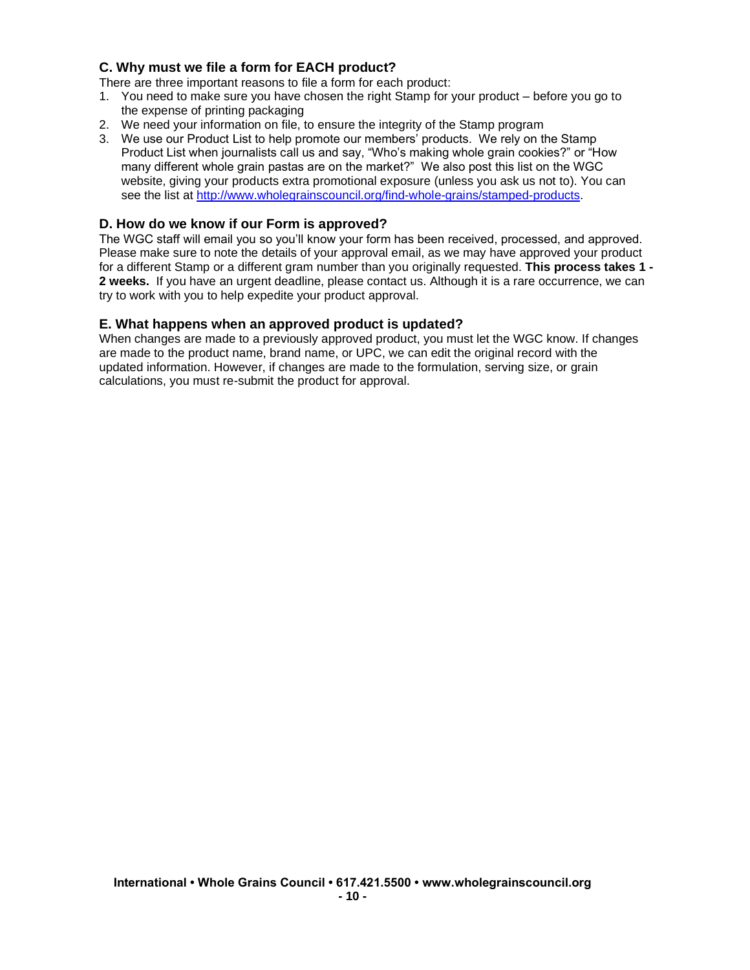# **C. Why must we file a form for EACH product?**

There are three important reasons to file a form for each product:

- 1. You need to make sure you have chosen the right Stamp for your product before you go to the expense of printing packaging
- 2. We need your information on file, to ensure the integrity of the Stamp program
- 3. We use our Product List to help promote our members' products. We rely on the Stamp Product List when journalists call us and say, "Who's making whole grain cookies?" or "How many different whole grain pastas are on the market?" We also post this list on the WGC website, giving your products extra promotional exposure (unless you ask us not to). You can see the list at [http://www.wholegrainscouncil.org/find-whole-grains/stamped-products.](http://www.wholegrainscouncil.org/find-whole-grains/stamped-products)

## **D. How do we know if our Form is approved?**

The WGC staff will email you so you'll know your form has been received, processed, and approved. Please make sure to note the details of your approval email, as we may have approved your product for a different Stamp or a different gram number than you originally requested. **This process takes 1 - 2 weeks.** If you have an urgent deadline, please contact us. Although it is a rare occurrence, we can try to work with you to help expedite your product approval.

#### **E. What happens when an approved product is updated?**

When changes are made to a previously approved product, you must let the WGC know. If changes are made to the product name, brand name, or UPC, we can edit the original record with the updated information. However, if changes are made to the formulation, serving size, or grain calculations, you must re-submit the product for approval.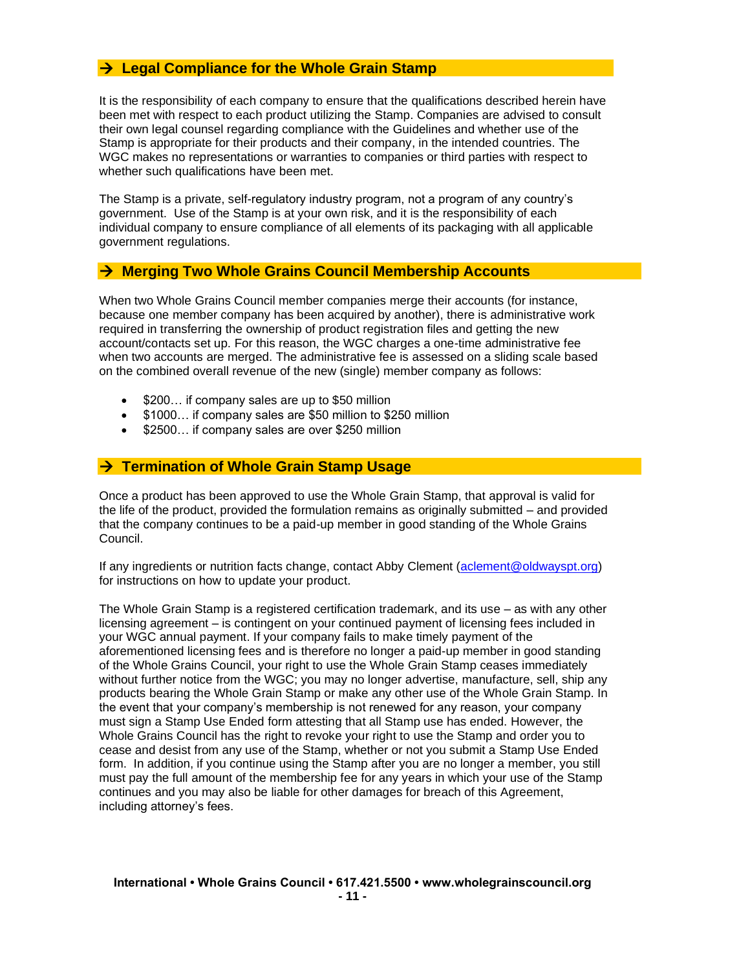# → **Legal Compliance for the Whole Grain Stamp**

It is the responsibility of each company to ensure that the qualifications described herein have been met with respect to each product utilizing the Stamp. Companies are advised to consult their own legal counsel regarding compliance with the Guidelines and whether use of the Stamp is appropriate for their products and their company, in the intended countries. The WGC makes no representations or warranties to companies or third parties with respect to whether such qualifications have been met.

The Stamp is a private, self-regulatory industry program, not a program of any country's government. Use of the Stamp is at your own risk, and it is the responsibility of each individual company to ensure compliance of all elements of its packaging with all applicable government regulations.

## → **Merging Two Whole Grains Council Membership Accounts**

When two Whole Grains Council member companies merge their accounts (for instance, because one member company has been acquired by another), there is administrative work required in transferring the ownership of product registration files and getting the new account/contacts set up. For this reason, the WGC charges a one-time administrative fee when two accounts are merged. The administrative fee is assessed on a sliding scale based on the combined overall revenue of the new (single) member company as follows:

- \$200... if company sales are up to \$50 million
- \$1000… if company sales are \$50 million to \$250 million
- \$2500... if company sales are over \$250 million

# → **Termination of Whole Grain Stamp Usage**

Once a product has been approved to use the Whole Grain Stamp, that approval is valid for the life of the product, provided the formulation remains as originally submitted – and provided that the company continues to be a paid-up member in good standing of the Whole Grains Council.

If any ingredients or nutrition facts change, contact Abby Clement [\(aclement@oldwayspt.org\)](mailto:aclement@oldwayspt.org) for instructions on how to update your product.

The Whole Grain Stamp is a registered certification trademark, and its use – as with any other licensing agreement – is contingent on your continued payment of licensing fees included in your WGC annual payment. If your company fails to make timely payment of the aforementioned licensing fees and is therefore no longer a paid-up member in good standing of the Whole Grains Council, your right to use the Whole Grain Stamp ceases immediately without further notice from the WGC; you may no longer advertise, manufacture, sell, ship any products bearing the Whole Grain Stamp or make any other use of the Whole Grain Stamp. In the event that your company's membership is not renewed for any reason, your company must sign a Stamp Use Ended form attesting that all Stamp use has ended. However, the Whole Grains Council has the right to revoke your right to use the Stamp and order you to cease and desist from any use of the Stamp, whether or not you submit a Stamp Use Ended form. In addition, if you continue using the Stamp after you are no longer a member, you still must pay the full amount of the membership fee for any years in which your use of the Stamp continues and you may also be liable for other damages for breach of this Agreement, including attorney's fees.